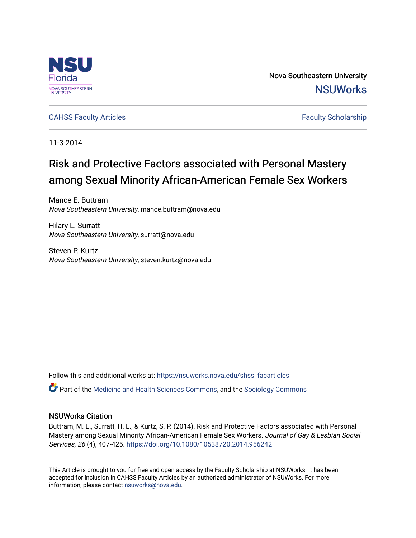

Nova Southeastern University **NSUWorks** 

[CAHSS Faculty Articles](https://nsuworks.nova.edu/shss_facarticles) **Faculty Articles** Faculty Scholarship

11-3-2014

# Risk and Protective Factors associated with Personal Mastery among Sexual Minority African-American Female Sex Workers

Mance E. Buttram Nova Southeastern University, mance.buttram@nova.edu

Hilary L. Surratt Nova Southeastern University, surratt@nova.edu

Steven P. Kurtz Nova Southeastern University, steven.kurtz@nova.edu

Follow this and additional works at: [https://nsuworks.nova.edu/shss\\_facarticles](https://nsuworks.nova.edu/shss_facarticles?utm_source=nsuworks.nova.edu%2Fshss_facarticles%2F239&utm_medium=PDF&utm_campaign=PDFCoverPages) 

Part of the [Medicine and Health Sciences Commons,](http://network.bepress.com/hgg/discipline/648?utm_source=nsuworks.nova.edu%2Fshss_facarticles%2F239&utm_medium=PDF&utm_campaign=PDFCoverPages) and the [Sociology Commons](http://network.bepress.com/hgg/discipline/416?utm_source=nsuworks.nova.edu%2Fshss_facarticles%2F239&utm_medium=PDF&utm_campaign=PDFCoverPages) 

## NSUWorks Citation

Buttram, M. E., Surratt, H. L., & Kurtz, S. P. (2014). Risk and Protective Factors associated with Personal Mastery among Sexual Minority African-American Female Sex Workers. Journal of Gay & Lesbian Social Services, 26 (4), 407-425.<https://doi.org/10.1080/10538720.2014.956242>

This Article is brought to you for free and open access by the Faculty Scholarship at NSUWorks. It has been accepted for inclusion in CAHSS Faculty Articles by an authorized administrator of NSUWorks. For more information, please contact [nsuworks@nova.edu.](mailto:nsuworks@nova.edu)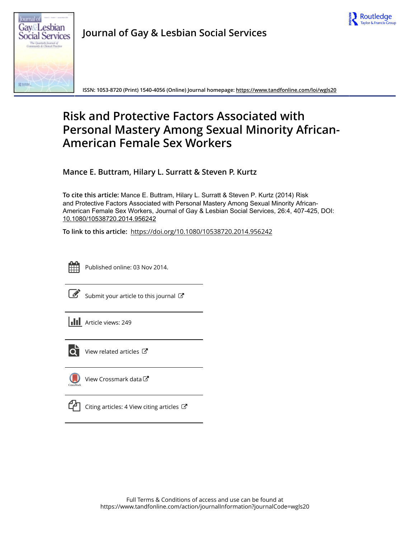



**Journal of Gay & Lesbian Social Services**

**ISSN: 1053-8720 (Print) 1540-4056 (Online) Journal homepage:<https://www.tandfonline.com/loi/wgls20>**

# **Risk and Protective Factors Associated with Personal Mastery Among Sexual Minority African-American Female Sex Workers**

**Mance E. Buttram, Hilary L. Surratt & Steven P. Kurtz**

**To cite this article:** Mance E. Buttram, Hilary L. Surratt & Steven P. Kurtz (2014) Risk and Protective Factors Associated with Personal Mastery Among Sexual Minority African-American Female Sex Workers, Journal of Gay & Lesbian Social Services, 26:4, 407-425, DOI: [10.1080/10538720.2014.956242](https://www.tandfonline.com/action/showCitFormats?doi=10.1080/10538720.2014.956242)

**To link to this article:** <https://doi.org/10.1080/10538720.2014.956242>



Published online: 03 Nov 2014.

|--|

[Submit your article to this journal](https://www.tandfonline.com/action/authorSubmission?journalCode=wgls20&show=instructions)  $\mathbb{Z}$ 



 $\overrightarrow{Q}$  [View related articles](https://www.tandfonline.com/doi/mlt/10.1080/10538720.2014.956242)  $\overrightarrow{C}$ 



[View Crossmark data](http://crossmark.crossref.org/dialog/?doi=10.1080/10538720.2014.956242&domain=pdf&date_stamp=2014-11-03)<sup>で</sup>



[Citing articles: 4 View citing articles](https://www.tandfonline.com/doi/citedby/10.1080/10538720.2014.956242#tabModule)  $\mathbb{C}$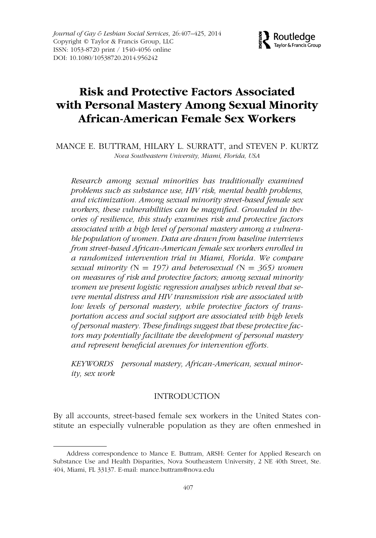*Journal of Gay & Lesbian Social Services*, 26:407–425, 2014 Copyright © Taylor & Francis Group, LLC ISSN: 1053-8720 print / 1540-4056 online DOI: 10.1080/10538720.2014.956242

## Routledge Taylor & Francis Group

# **Risk and Protective Factors Associated with Personal Mastery Among Sexual Minority African-American Female Sex Workers**

MANCE E. BUTTRAM, HILARY L. SURRATT, and STEVEN P. KURTZ *Nova Southeastern University, Miami, Florida, USA*

*Research among sexual minorities has traditionally examined problems such as substance use, HIV risk, mental health problems, and victimization. Among sexual minority street-based female sex workers, these vulnerabilities can be magnified. Grounded in theories of resilience, this study examines risk and protective factors associated with a high level of personal mastery among a vulnerable population of women. Data are drawn from baseline interviews from street-based African-American female sex workers enrolled in a randomized intervention trial in Miami, Florida. We compare sexual minority (*N = *197) and heterosexual (*N = *365) women on measures of risk and protective factors; among sexual minority women we present logistic regression analyses which reveal that severe mental distress and HIV transmission risk are associated with low levels of personal mastery, while protective factors of transportation access and social support are associated with high levels of personal mastery. These findings suggest that these protective factors may potentially facilitate the development of personal mastery and represent beneficial avenues for intervention efforts.*

*KEYWORDS personal mastery, African-American, sexual minority, sex work*

### INTRODUCTION

By all accounts, street-based female sex workers in the United States constitute an especially vulnerable population as they are often enmeshed in

Address correspondence to Mance E. Buttram, ARSH: Center for Applied Research on Substance Use and Health Disparities, Nova Southeastern University, 2 NE 40th Street, Ste. 404, Miami, FL 33137. E-mail: mance.buttram@nova.edu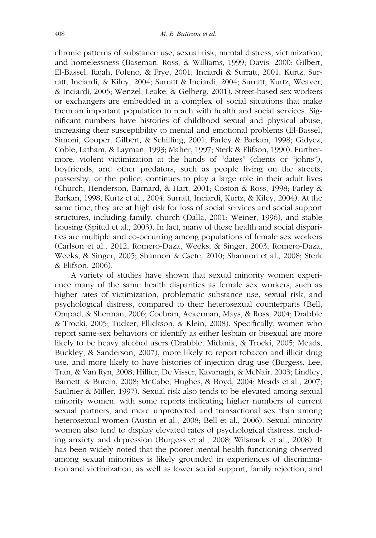chronic patterns of substance use, sexual risk, mental distress, victimization, and homelessness (Baseman, Ross, & Williams, 1999; Davis, 2000; Gilbert, El-Bassel, Rajah, Foleno, & Frye, 2001; Inciardi & Surratt, 2001; Kurtz, Surratt, Inciardi, & Kiley, 2004; Surratt & Inciardi, 2004; Surratt, Kurtz, Weaver, & Inciardi, 2005; Wenzel, Leake, & Gelberg, 2001). Street-based sex workers or exchangers are embedded in a complex of social situations that make them an important population to reach with health and social services. Significant numbers have histories of childhood sexual and physical abuse, increasing their susceptibility to mental and emotional problems (El-Bassel, Simoni, Cooper, Gilbert, & Schilling, 2001; Farley & Barkan, 1998; Gidycz, Coble, Latham, & Layman, 1993; Maher, 1997; Sterk & Elifson, 1990). Furthermore, violent victimization at the hands of "dates" (clients or "johns"), boyfriends, and other predators, such as people living on the streets, passersby, or the police, continues to play a large role in their adult lives (Church, Henderson, Barnard, & Hart, 2001; Coston & Ross, 1998; Farley & Barkan, 1998; Kurtz et al., 2004; Surratt, Inciardi, Kurtz, & Kiley, 2004). At the same time, they are at high risk for loss of social services and social support structures, including family, church (Dalla, 2001; Weiner, 1996), and stable housing (Spittal et al., 2003). In fact, many of these health and social disparities are multiple and co-occurring among populations of female sex workers (Carlson et al., 2012; Romero-Daza, Weeks, & Singer, 2003; Romero-Daza, Weeks, & Singer, 2005; Shannon & Csete, 2010; Shannon et al., 2008; Sterk & Elifson, 2006).

A variety of studies have shown that sexual minority women experience many of the same health disparities as female sex workers, such as higher rates of victimization, problematic substance use, sexual risk, and psychological distress, compared to their heterosexual counterparts (Bell, Ompad, & Sherman, 2006; Cochran, Ackerman, Mays, & Ross, 2004; Drabble & Trocki, 2005; Tucker, Ellickson, & Klein, 2008). Specifically, women who report same-sex behaviors or identify as either lesbian or bisexual are more likely to be heavy alcohol users (Drabble, Midanik, & Trocki, 2005; Meads, Buckley, & Sanderson, 2007), more likely to report tobacco and illicit drug use, and more likely to have histories of injection drug use (Burgess, Lee, Tran, & Van Ryn, 2008; Hillier, De Visser, Kavanagh, & McNair, 2003; Lindley, Barnett, & Burcin, 2008; McCabe, Hughes, & Boyd, 2004; Meads et al., 2007; Saulnier & Miller, 1997). Sexual risk also tends to be elevated among sexual minority women, with some reports indicating higher numbers of current sexual partners, and more unprotected and transactional sex than among heterosexual women (Austin et al., 2008; Bell et al., 2006). Sexual minority women also tend to display elevated rates of psychological distress, including anxiety and depression (Burgess et al., 2008; Wilsnack et al., 2008). It has been widely noted that the poorer mental health functioning observed among sexual minorities is likely grounded in experiences of discrimination and victimization, as well as lower social support, family rejection, and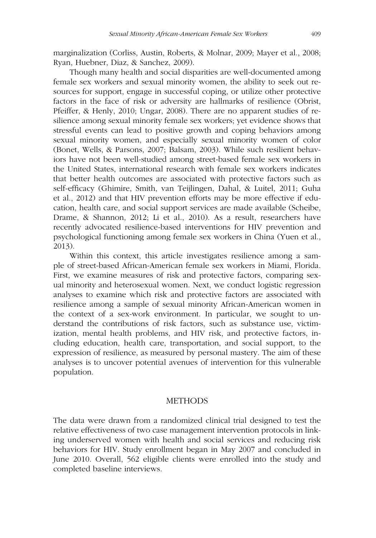marginalization (Corliss, Austin, Roberts, & Molnar, 2009; Mayer et al., 2008; Ryan, Huebner, Diaz, & Sanchez, 2009).

Though many health and social disparities are well-documented among female sex workers and sexual minority women, the ability to seek out resources for support, engage in successful coping, or utilize other protective factors in the face of risk or adversity are hallmarks of resilience (Obrist, Pfeiffer, & Henly, 2010; Ungar, 2008). There are no apparent studies of resilience among sexual minority female sex workers; yet evidence shows that stressful events can lead to positive growth and coping behaviors among sexual minority women, and especially sexual minority women of color (Bonet, Wells, & Parsons, 2007; Balsam, 2003). While such resilient behaviors have not been well-studied among street-based female sex workers in the United States, international research with female sex workers indicates that better health outcomes are associated with protective factors such as self-efficacy (Ghimire, Smith, van Teijlingen, Dahal, & Luitel, 2011; Guha et al., 2012) and that HIV prevention efforts may be more effective if education, health care, and social support services are made available (Scheibe, Drame, & Shannon, 2012; Li et al., 2010). As a result, researchers have recently advocated resilience-based interventions for HIV prevention and psychological functioning among female sex workers in China (Yuen et al., 2013).

Within this context, this article investigates resilience among a sample of street-based African-American female sex workers in Miami, Florida. First, we examine measures of risk and protective factors, comparing sexual minority and heterosexual women. Next, we conduct logistic regression analyses to examine which risk and protective factors are associated with resilience among a sample of sexual minority African-American women in the context of a sex-work environment. In particular, we sought to understand the contributions of risk factors, such as substance use, victimization, mental health problems, and HIV risk, and protective factors, including education, health care, transportation, and social support, to the expression of resilience, as measured by personal mastery. The aim of these analyses is to uncover potential avenues of intervention for this vulnerable population.

#### METHODS

The data were drawn from a randomized clinical trial designed to test the relative effectiveness of two case management intervention protocols in linking underserved women with health and social services and reducing risk behaviors for HIV. Study enrollment began in May 2007 and concluded in June 2010. Overall, 562 eligible clients were enrolled into the study and completed baseline interviews.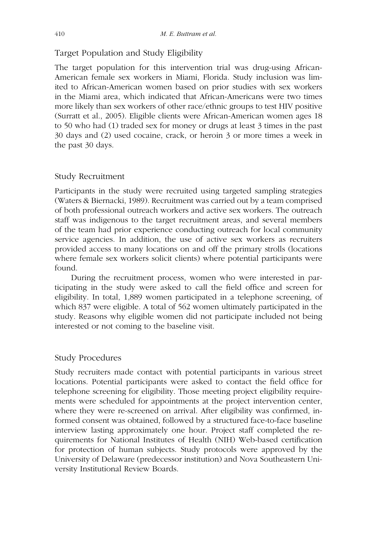# Target Population and Study Eligibility

The target population for this intervention trial was drug-using African-American female sex workers in Miami, Florida. Study inclusion was limited to African-American women based on prior studies with sex workers in the Miami area, which indicated that African-Americans were two times more likely than sex workers of other race/ethnic groups to test HIV positive (Surratt et al., 2005). Eligible clients were African-American women ages 18 to 50 who had (1) traded sex for money or drugs at least 3 times in the past 30 days and (2) used cocaine, crack, or heroin 3 or more times a week in the past 30 days.

# Study Recruitment

Participants in the study were recruited using targeted sampling strategies (Waters & Biernacki, 1989). Recruitment was carried out by a team comprised of both professional outreach workers and active sex workers. The outreach staff was indigenous to the target recruitment areas, and several members of the team had prior experience conducting outreach for local community service agencies. In addition, the use of active sex workers as recruiters provided access to many locations on and off the primary strolls (locations where female sex workers solicit clients) where potential participants were found.

During the recruitment process, women who were interested in participating in the study were asked to call the field office and screen for eligibility. In total, 1,889 women participated in a telephone screening, of which 837 were eligible. A total of 562 women ultimately participated in the study. Reasons why eligible women did not participate included not being interested or not coming to the baseline visit.

# Study Procedures

Study recruiters made contact with potential participants in various street locations. Potential participants were asked to contact the field office for telephone screening for eligibility. Those meeting project eligibility requirements were scheduled for appointments at the project intervention center, where they were re-screened on arrival. After eligibility was confirmed, informed consent was obtained, followed by a structured face-to-face baseline interview lasting approximately one hour. Project staff completed the requirements for National Institutes of Health (NIH) Web-based certification for protection of human subjects. Study protocols were approved by the University of Delaware (predecessor institution) and Nova Southeastern University Institutional Review Boards.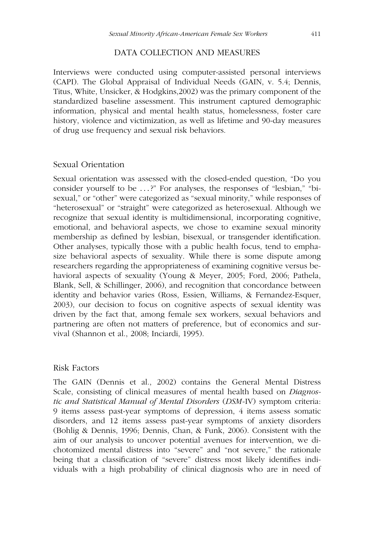#### DATA COLLECTION AND MEASURES

Interviews were conducted using computer-assisted personal interviews (CAPI). The Global Appraisal of Individual Needs (GAIN, v. 5.4; Dennis, Titus, White, Unsicker, & Hodgkins,2002) was the primary component of the standardized baseline assessment. This instrument captured demographic information, physical and mental health status, homelessness, foster care history, violence and victimization, as well as lifetime and 90-day measures of drug use frequency and sexual risk behaviors.

#### Sexual Orientation

Sexual orientation was assessed with the closed-ended question, "Do you consider yourself to be ...?" For analyses, the responses of "lesbian," "bisexual," or "other" were categorized as "sexual minority," while responses of "heterosexual" or "straight" were categorized as heterosexual. Although we recognize that sexual identity is multidimensional, incorporating cognitive, emotional, and behavioral aspects, we chose to examine sexual minority membership as defined by lesbian, bisexual, or transgender identification. Other analyses, typically those with a public health focus, tend to emphasize behavioral aspects of sexuality. While there is some dispute among researchers regarding the appropriateness of examining cognitive versus behavioral aspects of sexuality (Young & Meyer, 2005; Ford, 2006; Pathela, Blank, Sell, & Schillinger, 2006), and recognition that concordance between identity and behavior varies (Ross, Essien, Williams, & Fernandez-Esquer, 2003), our decision to focus on cognitive aspects of sexual identity was driven by the fact that, among female sex workers, sexual behaviors and partnering are often not matters of preference, but of economics and survival (Shannon et al., 2008; Inciardi, 1995).

#### Risk Factors

The GAIN (Dennis et al., 2002) contains the General Mental Distress Scale, consisting of clinical measures of mental health based on *Diagnostic and Statistical Manual of Mental Disorders* (*DSM*-IV) symptom criteria: 9 items assess past-year symptoms of depression, 4 items assess somatic disorders, and 12 items assess past-year symptoms of anxiety disorders (Bohlig & Dennis, 1996; Dennis, Chan, & Funk, 2006). Consistent with the aim of our analysis to uncover potential avenues for intervention, we dichotomized mental distress into "severe" and "not severe," the rationale being that a classification of "severe" distress most likely identifies individuals with a high probability of clinical diagnosis who are in need of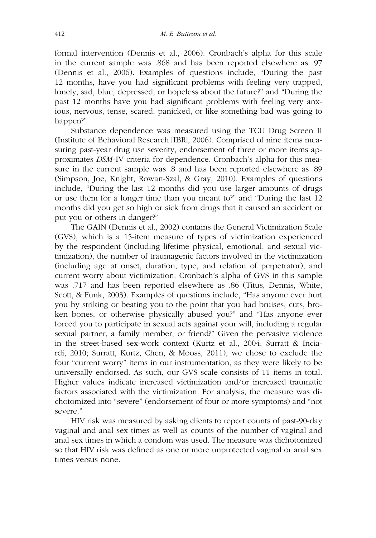formal intervention (Dennis et al., 2006). Cronbach's alpha for this scale in the current sample was .868 and has been reported elsewhere as .97 (Dennis et al., 2006). Examples of questions include, "During the past 12 months, have you had significant problems with feeling very trapped, lonely, sad, blue, depressed, or hopeless about the future?" and "During the past 12 months have you had significant problems with feeling very anxious, nervous, tense, scared, panicked, or like something bad was going to happen?"

Substance dependence was measured using the TCU Drug Screen II (Institute of Behavioral Research [IBR], 2006). Comprised of nine items measuring past-year drug use severity, endorsement of three or more items approximates *DSM*-IV criteria for dependence. Cronbach's alpha for this measure in the current sample was .8 and has been reported elsewhere as .89 (Simpson, Joe, Knight, Rowan-Szal, & Gray, 2010). Examples of questions include, "During the last 12 months did you use larger amounts of drugs or use them for a longer time than you meant to?" and "During the last 12 months did you get so high or sick from drugs that it caused an accident or put you or others in danger?"

The GAIN (Dennis et al., 2002) contains the General Victimization Scale (GVS), which is a 15-item measure of types of victimization experienced by the respondent (including lifetime physical, emotional, and sexual victimization), the number of traumagenic factors involved in the victimization (including age at onset, duration, type, and relation of perpetrator), and current worry about victimization. Cronbach's alpha of GVS in this sample was .717 and has been reported elsewhere as .86 (Titus, Dennis, White, Scott, & Funk, 2003). Examples of questions include, "Has anyone ever hurt you by striking or beating you to the point that you had bruises, cuts, broken bones, or otherwise physically abused you?" and "Has anyone ever forced you to participate in sexual acts against your will, including a regular sexual partner, a family member, or friend?" Given the pervasive violence in the street-based sex-work context (Kurtz et al., 2004; Surratt & Inciardi, 2010; Surratt, Kurtz, Chen, & Mooss, 2011), we chose to exclude the four "current worry" items in our instrumentation, as they were likely to be universally endorsed. As such, our GVS scale consists of 11 items in total. Higher values indicate increased victimization and/or increased traumatic factors associated with the victimization. For analysis, the measure was dichotomized into "severe" (endorsement of four or more symptoms) and "not severe."

HIV risk was measured by asking clients to report counts of past-90-day vaginal and anal sex times as well as counts of the number of vaginal and anal sex times in which a condom was used. The measure was dichotomized so that HIV risk was defined as one or more unprotected vaginal or anal sex times versus none.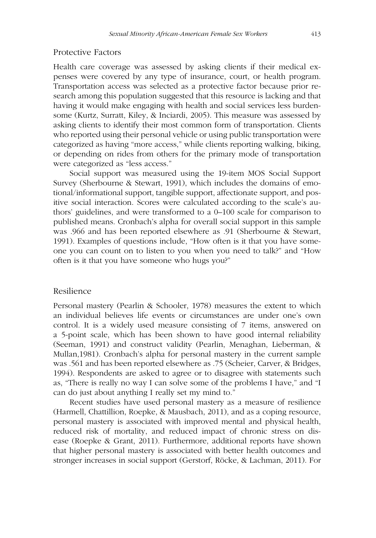#### Protective Factors

Health care coverage was assessed by asking clients if their medical expenses were covered by any type of insurance, court, or health program. Transportation access was selected as a protective factor because prior research among this population suggested that this resource is lacking and that having it would make engaging with health and social services less burdensome (Kurtz, Surratt, Kiley, & Inciardi, 2005). This measure was assessed by asking clients to identify their most common form of transportation. Clients who reported using their personal vehicle or using public transportation were categorized as having "more access," while clients reporting walking, biking, or depending on rides from others for the primary mode of transportation were categorized as "less access."

Social support was measured using the 19-item MOS Social Support Survey (Sherbourne & Stewart, 1991), which includes the domains of emotional/informational support, tangible support, affectionate support, and positive social interaction. Scores were calculated according to the scale's authors' guidelines, and were transformed to a 0–100 scale for comparison to published means. Cronbach's alpha for overall social support in this sample was .966 and has been reported elsewhere as .91 (Sherbourne & Stewart, 1991). Examples of questions include, "How often is it that you have someone you can count on to listen to you when you need to talk?" and "How often is it that you have someone who hugs you?"

#### Resilience

Personal mastery (Pearlin & Schooler, 1978) measures the extent to which an individual believes life events or circumstances are under one's own control. It is a widely used measure consisting of 7 items, answered on a 5-point scale, which has been shown to have good internal reliability (Seeman, 1991) and construct validity (Pearlin, Menaghan, Lieberman, & Mullan,1981). Cronbach's alpha for personal mastery in the current sample was .561 and has been reported elsewhere as .75 (Scheier, Carver, & Bridges, 1994). Respondents are asked to agree or to disagree with statements such as, "There is really no way I can solve some of the problems I have," and "I can do just about anything I really set my mind to."

Recent studies have used personal mastery as a measure of resilience (Harmell, Chattillion, Roepke, & Mausbach, 2011), and as a coping resource, personal mastery is associated with improved mental and physical health, reduced risk of mortality, and reduced impact of chronic stress on disease (Roepke & Grant, 2011). Furthermore, additional reports have shown that higher personal mastery is associated with better health outcomes and stronger increases in social support (Gerstorf, Röcke, & Lachman, 2011). For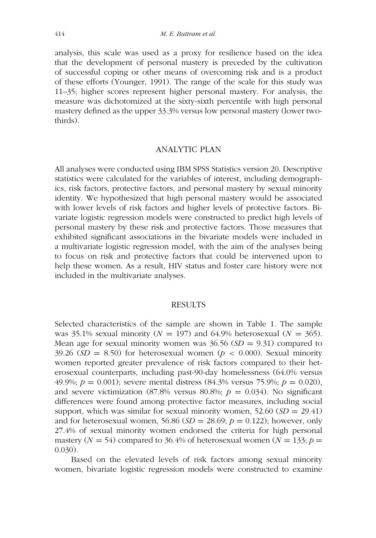analysis, this scale was used as a proxy for resilience based on the idea that the development of personal mastery is preceded by the cultivation of successful coping or other means of overcoming risk and is a product of these efforts (Younger, 1991). The range of the scale for this study was 11–35; higher scores represent higher personal mastery. For analysis, the measure was dichotomized at the sixty-sixth percentile with high personal mastery defined as the upper 33.3% versus low personal mastery (lower twothirds).

#### ANALYTIC PLAN

All analyses were conducted using IBM SPSS Statistics version 20. Descriptive statistics were calculated for the variables of interest, including demographics, risk factors, protective factors, and personal mastery by sexual minority identity. We hypothesized that high personal mastery would be associated with lower levels of risk factors and higher levels of protective factors. Bivariate logistic regression models were constructed to predict high levels of personal mastery by these risk and protective factors. Those measures that exhibited significant associations in the bivariate models were included in a multivariate logistic regression model, with the aim of the analyses being to focus on risk and protective factors that could be intervened upon to help these women. As a result, HIV status and foster care history were not included in the multivariate analyses.

#### **RESULTS**

Selected characteristics of the sample are shown in Table 1. The sample was 35.1% sexual minority ( $N = 197$ ) and 64.9% heterosexual ( $N = 365$ ). Mean age for sexual minority women was  $36.56$  ( $SD = 9.31$ ) compared to 39.26  $(SD = 8.50)$  for heterosexual women ( $p < 0.000$ ). Sexual minority women reported greater prevalence of risk factors compared to their heterosexual counterparts, including past-90-day homelessness (64.0% versus 49.9%;  $p = 0.001$ ); severe mental distress  $(84.3\% \text{ versus } 75.9\%; p = 0.020)$ , and severe victimization (87.8% versus 80.8%;  $p = 0.034$ ). No significant differences were found among protective factor measures, including social support, which was similar for sexual minority women,  $52.60$  (*SD* = 29.41) and for heterosexual women, 56.86  $(SD = 28.69; p = 0.122)$ ; however, only 27.4% of sexual minority women endorsed the criteria for high personal mastery ( $N = 54$ ) compared to 36.4% of heterosexual women ( $N = 133$ ;  $p =$ 0.030).

Based on the elevated levels of risk factors among sexual minority women, bivariate logistic regression models were constructed to examine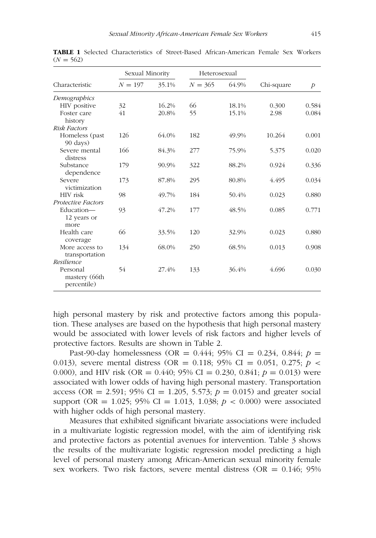| Characteristic                                         | Sexual Minority |       | Heterosexual |       |            |               |
|--------------------------------------------------------|-----------------|-------|--------------|-------|------------|---------------|
|                                                        | $N = 197$       | 35.1% | $N = 365$    | 64.9% | Chi-square | $\mathcal{P}$ |
| Demographics                                           |                 |       |              |       |            |               |
| HIV positive                                           | 32              | 16.2% | 66           | 18.1% | 0.300      | 0.584         |
| Foster care<br>history                                 | 41              | 20.8% | 55           | 15.1% | 2.98       | 0.084         |
| Risk Factors                                           |                 |       |              |       |            |               |
| Homeless (past<br>90 days)                             | 126             | 64.0% | 182          | 49.9% | 10.264     | 0.001         |
| Severe mental<br>distress                              | 166             | 84.3% | 277          | 75.9% | 5.375      | 0.020         |
| Substance<br>dependence                                | 179             | 90.9% | 322          | 88.2% | 0.924      | 0.336         |
| Severe<br>victimization                                | 173             | 87.8% | 295          | 80.8% | 4.495      | 0.034         |
| HIV risk<br><b>Protective Factors</b>                  | 98              | 49.7% | 184          | 50.4% | 0.023      | 0.880         |
| Education-<br>12 years or<br>more                      | 93              | 47.2% | 177          | 48.5% | 0.085      | 0.771         |
| Health care<br>coverage                                | 66              | 33.5% | 120          | 32.9% | 0.023      | 0.880         |
| More access to<br>transportation                       | 134             | 68.0% | 250          | 68.5% | 0.013      | 0.908         |
| Resilience<br>Personal<br>mastery (66th<br>percentile) | 54              | 27.4% | 133          | 36.4% | 4.696      | 0.030         |

**TABLE 1** Selected Characteristics of Street-Based African-American Female Sex Workers  $(N = 562)$ 

high personal mastery by risk and protective factors among this population. These analyses are based on the hypothesis that high personal mastery would be associated with lower levels of risk factors and higher levels of protective factors. Results are shown in Table 2.

Past-90-day homelessness (OR =  $0.444$ ; 95% CI =  $0.234$ , 0.844;  $p =$ 0.013), severe mental distress (OR = 0.118; 95% CI = 0.051, 0.275; *p <* 0.000), and HIV risk (OR =  $0.440$ ; 95% CI = 0.230, 0.841;  $p = 0.013$ ) were associated with lower odds of having high personal mastery. Transportation access (OR = 2.591; 95% CI = 1.205, 5.573;  $p = 0.015$ ) and greater social support (OR = 1.025; 95% CI = 1.013, 1.038; *p <* 0.000) were associated with higher odds of high personal mastery.

Measures that exhibited significant bivariate associations were included in a multivariate logistic regression model, with the aim of identifying risk and protective factors as potential avenues for intervention. Table 3 shows the results of the multivariate logistic regression model predicting a high level of personal mastery among African-American sexual minority female sex workers. Two risk factors, severe mental distress (OR =  $0.146$ ; 95%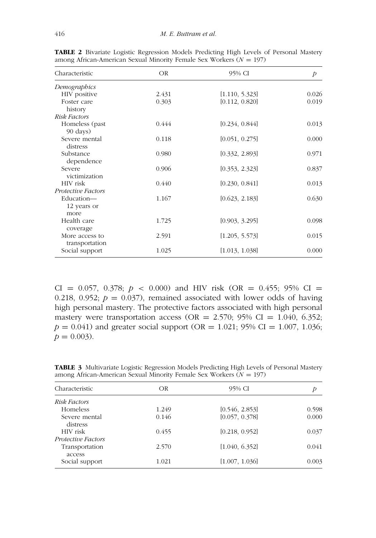| Characteristic                    | OR    | 95% CI         | $\mathcal{P}$ |
|-----------------------------------|-------|----------------|---------------|
| Demographics                      |       |                |               |
| HIV positive                      | 2.431 | [1.110, 5.323] | 0.026         |
| Foster care                       | 0.303 | [0.112, 0.820] | 0.019         |
| history                           |       |                |               |
| Risk Factors                      |       |                |               |
| Homeless (past<br>90 days)        | 0.444 | [0.234, 0.844] | 0.013         |
| Severe mental<br>distress         | 0.118 | [0.051, 0.275] | 0.000         |
| Substance<br>dependence           | 0.980 | [0.332, 2.893] | 0.971         |
| Severe<br>victimization           | 0.906 | [0.353, 2.323] | 0.837         |
| HIV risk                          | 0.440 | [0.230, 0.841] | 0.013         |
| Protective Factors                |       |                |               |
| Education-<br>12 years or<br>more | 1.167 | [0.623, 2.183] | 0.630         |
| Health care<br>coverage           | 1.725 | [0.903, 3.295] | 0.098         |
| More access to<br>transportation  | 2.591 | [1.205, 5.573] | 0.015         |
| Social support                    | 1.025 | [1.013, 1.038] | 0.000         |

**TABLE 2** Bivariate Logistic Regression Models Predicting High Levels of Personal Mastery among African-American Sexual Minority Female Sex Workers (*N* = 197)

CI = 0.057, 0.378;  $p \lt 0.000$  and HIV risk (OR = 0.455; 95% CI = 0.218, 0.952;  $p = 0.037$ ), remained associated with lower odds of having high personal mastery. The protective factors associated with high personal mastery were transportation access (OR =  $2.570$ ; 95% CI =  $1.040$ , 6.352;  $p = 0.041$ ) and greater social support (OR = 1.021; 95% CI = 1.007, 1.036;  $p = 0.003$ .

| Characteristic            | OR    | 95% CI         |       |  |
|---------------------------|-------|----------------|-------|--|
| Risk Factors              |       |                |       |  |
| <b>Homeless</b>           | 1.249 | [0.546, 2.853] | 0.598 |  |
| Severe mental             | 0.146 | [0.057, 0.378] | 0.000 |  |
| distress                  |       |                |       |  |
| HIV risk                  | 0.455 | [0.218, 0.952] | 0.037 |  |
| <i>Protective Factors</i> |       |                |       |  |
| Transportation<br>access  | 2.570 | [1.040, 6.352] | 0.041 |  |
| Social support            | 1.021 | [1.007, 1.036] | 0.003 |  |

**TABLE 3** Multivariate Logistic Regression Models Predicting High Levels of Personal Mastery among African-American Sexual Minority Female Sex Workers (*N* = 197)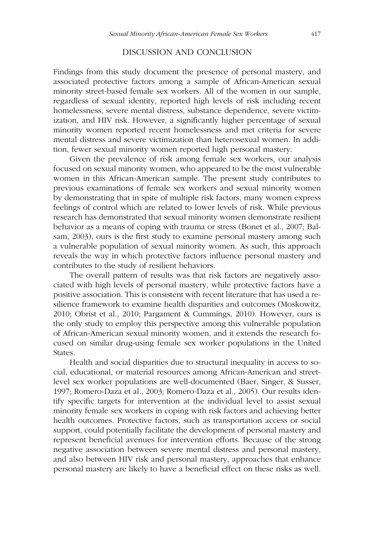#### DISCUSSION AND CONCLUSION

Findings from this study document the presence of personal mastery, and associated protective factors among a sample of African-American sexual minority street-based female sex workers. All of the women in our sample, regardless of sexual identity, reported high levels of risk including recent homelessness, severe mental distress, substance dependence, severe victimization, and HIV risk. However, a significantly higher percentage of sexual minority women reported recent homelessness and met criteria for severe mental distress and severe victimization than heterosexual women. In addition, fewer sexual minority women reported high personal mastery.

Given the prevalence of risk among female sex workers, our analysis focused on sexual minority women, who appeared to be the most vulnerable women in this African-American sample. The present study contributes to previous examinations of female sex workers and sexual minority women by demonstrating that in spite of multiple risk factors, many women express feelings of control which are related to lower levels of risk. While previous research has demonstrated that sexual minority women demonstrate resilient behavior as a means of coping with trauma or stress (Bonet et al., 2007; Balsam, 2003), ours is the first study to examine personal mastery among such a vulnerable population of sexual minority women. As such, this approach reveals the way in which protective factors influence personal mastery and contributes to the study of resilient behaviors.

The overall pattern of results was that risk factors are negatively associated with high levels of personal mastery, while protective factors have a positive association. This is consistent with recent literature that has used a resilience framework to examine health disparities and outcomes (Moskowitz, 2010; Obrist et al., 2010; Pargament & Cummings, 2010). However, ours is the only study to employ this perspective among this vulnerable population of African-American sexual minority women, and it extends the research focused on similar drug-using female sex worker populations in the United States.

Health and social disparities due to structural inequality in access to social, educational, or material resources among African-American and streetlevel sex worker populations are well-documented (Baer, Singer, & Susser, 1997; Romero-Daza et al., 2003; Romero-Daza et al., 2005). Our results identify specific targets for intervention at the individual level to assist sexual minority female sex workers in coping with risk factors and achieving better health outcomes. Protective factors, such as transportation access or social support, could potentially facilitate the development of personal mastery and represent beneficial avenues for intervention efforts. Because of the strong negative association between severe mental distress and personal mastery, and also between HIV risk and personal mastery, approaches that enhance personal mastery are likely to have a beneficial effect on these risks as well.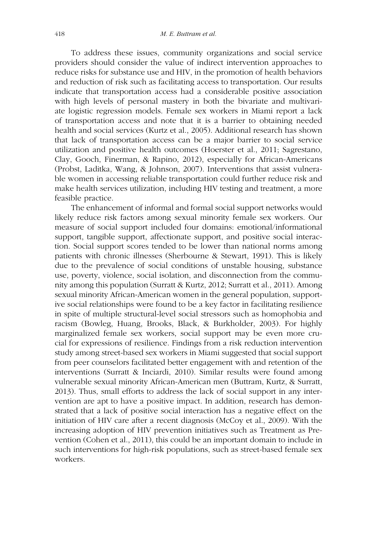To address these issues, community organizations and social service providers should consider the value of indirect intervention approaches to reduce risks for substance use and HIV, in the promotion of health behaviors and reduction of risk such as facilitating access to transportation. Our results indicate that transportation access had a considerable positive association with high levels of personal mastery in both the bivariate and multivariate logistic regression models. Female sex workers in Miami report a lack of transportation access and note that it is a barrier to obtaining needed health and social services (Kurtz et al., 2005). Additional research has shown that lack of transportation access can be a major barrier to social service utilization and positive health outcomes (Hoerster et al., 2011; Sagrestano, Clay, Gooch, Finerman, & Rapino, 2012), especially for African-Americans (Probst, Laditka, Wang, & Johnson, 2007). Interventions that assist vulnerable women in accessing reliable transportation could further reduce risk and make health services utilization, including HIV testing and treatment, a more feasible practice.

The enhancement of informal and formal social support networks would likely reduce risk factors among sexual minority female sex workers. Our measure of social support included four domains: emotional/informational support, tangible support, affectionate support, and positive social interaction. Social support scores tended to be lower than national norms among patients with chronic illnesses (Sherbourne & Stewart, 1991). This is likely due to the prevalence of social conditions of unstable housing, substance use, poverty, violence, social isolation, and disconnection from the community among this population (Surratt & Kurtz, 2012; Surratt et al., 2011). Among sexual minority African-American women in the general population, supportive social relationships were found to be a key factor in facilitating resilience in spite of multiple structural-level social stressors such as homophobia and racism (Bowleg, Huang, Brooks, Black, & Burkholder, 2003). For highly marginalized female sex workers, social support may be even more crucial for expressions of resilience. Findings from a risk reduction intervention study among street-based sex workers in Miami suggested that social support from peer counselors facilitated better engagement with and retention of the interventions (Surratt & Inciardi, 2010). Similar results were found among vulnerable sexual minority African-American men (Buttram, Kurtz, & Surratt, 2013). Thus, small efforts to address the lack of social support in any intervention are apt to have a positive impact. In addition, research has demonstrated that a lack of positive social interaction has a negative effect on the initiation of HIV care after a recent diagnosis (McCoy et al., 2009). With the increasing adoption of HIV prevention initiatives such as Treatment as Prevention (Cohen et al., 2011), this could be an important domain to include in such interventions for high-risk populations, such as street-based female sex workers.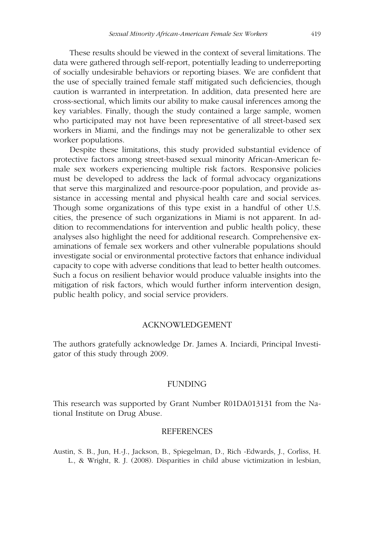These results should be viewed in the context of several limitations. The data were gathered through self-report, potentially leading to underreporting of socially undesirable behaviors or reporting biases. We are confident that the use of specially trained female staff mitigated such deficiencies, though caution is warranted in interpretation. In addition, data presented here are cross-sectional, which limits our ability to make causal inferences among the key variables. Finally, though the study contained a large sample, women who participated may not have been representative of all street-based sex workers in Miami, and the findings may not be generalizable to other sex worker populations.

Despite these limitations, this study provided substantial evidence of protective factors among street-based sexual minority African-American female sex workers experiencing multiple risk factors. Responsive policies must be developed to address the lack of formal advocacy organizations that serve this marginalized and resource-poor population, and provide assistance in accessing mental and physical health care and social services. Though some organizations of this type exist in a handful of other U.S. cities, the presence of such organizations in Miami is not apparent. In addition to recommendations for intervention and public health policy, these analyses also highlight the need for additional research. Comprehensive examinations of female sex workers and other vulnerable populations should investigate social or environmental protective factors that enhance individual capacity to cope with adverse conditions that lead to better health outcomes. Such a focus on resilient behavior would produce valuable insights into the mitigation of risk factors, which would further inform intervention design, public health policy, and social service providers.

#### ACKNOWLEDGEMENT

The authors gratefully acknowledge Dr. James A. Inciardi, Principal Investigator of this study through 2009.

#### FUNDING

This research was supported by Grant Number R01DA013131 from the National Institute on Drug Abuse.

#### REFERENCES

Austin, S. B., Jun, H.-J., Jackson, B., Spiegelman, D., Rich -Edwards, J., Corliss, H. L., & Wright, R. J. (2008). Disparities in child abuse victimization in lesbian,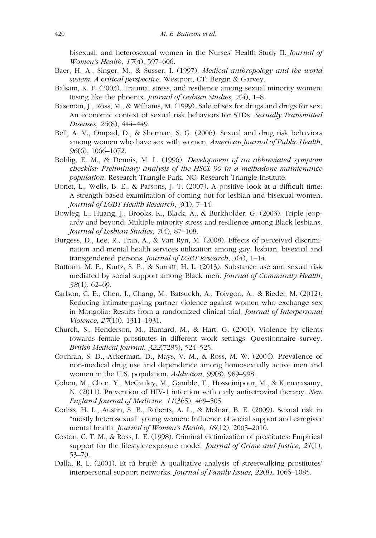bisexual, and heterosexual women in the Nurses' Health Study II. *Journal of Women's Health*, *17*(4), 597–606.

- Baer, H. A., Singer, M., & Susser, I. (1997). *Medical anthropology and the world system: A critical perspective*. Westport, CT: Bergin & Garvey.
- Balsam, K. F. (2003). Trauma, stress, and resilience among sexual minority women: Rising like the phoenix. *Journal of Lesbian Studies*, *7*(4), 1–8.
- Baseman, J., Ross, M., & Williams, M. (1999). Sale of sex for drugs and drugs for sex: An economic context of sexual risk behaviors for STDs. *Sexually Transmitted Diseases*, *26*(8), 444–449.
- Bell, A. V., Ompad, D., & Sherman, S. G. (2006). Sexual and drug risk behaviors among women who have sex with women. *American Journal of Public Health*, *96*(6), 1066–1072.
- Bohlig, E. M., & Dennis, M. L. (1996). *Development of an abbreviated symptom checklist: Preliminary analysis of the HSCL-90 in a methadone-maintenance population*. Research Triangle Park, NC: Research Triangle Institute.
- Bonet, L., Wells, B. E., & Parsons, J. T. (2007). A positive look at a difficult time: A strength based examination of coming out for lesbian and bisexual women. *Journal of LGBT Health Research*, *3*(1), 7–14.
- Bowleg, L., Huang, J., Brooks, K., Black, A., & Burkholder, G. (2003). Triple jeopardy and beyond: Multiple minority stress and resilience among Black lesbians. *Journal of Lesbian Studies*, *7*(4), 87–108.
- Burgess, D., Lee, R., Tran, A., & Van Ryn, M. (2008). Effects of perceived discrimination and mental health services utilization among gay, lesbian, bisexual and transgendered persons. *Journal of LGBT Research*, *3*(4), 1–14.
- Buttram, M. E., Kurtz, S. P., & Surratt, H. L. (2013). Substance use and sexual risk mediated by social support among Black men. *Journal of Community Health*, *38*(1), 62–69.
- Carlson, C. E., Chen, J., Chang, M., Batsuckh, A., Toivgoo, A., & Riedel, M. (2012). Reducing intimate paying partner violence against women who exchange sex in Mongolia: Results from a randomized clinical trial. *Journal of Interpersonal Violence*, *27*(10), 1311–1931.
- Church, S., Henderson, M., Barnard, M., & Hart, G. (2001). Violence by clients towards female prostitutes in different work settings: Questionnaire survey. *British Medical Journal*, *322*(7285), 524–525.
- Cochran, S. D., Ackerman, D., Mays, V. M., & Ross, M. W. (2004). Prevalence of non-medical drug use and dependence among homosexually active men and women in the U.S. population. *Addiction*, *99*(8), 989–998.
- Cohen, M., Chen, Y., McCauley, M., Gamble, T., Hosseinipour, M., & Kumarasamy, N. (2011). Prevention of HIV-1 infection with early antiretroviral therapy. *New England Journal of Medicine*, *11*(365), 469–505.
- Corliss, H. L., Austin, S. B., Roberts, A. L., & Molnar, B. E. (2009). Sexual risk in "mostly heterosexual" young women: Influence of social support and caregiver mental health. *Journal of Women's Health*, *18*(12), 2005–2010.
- Coston, C. T. M., & Ross, L. E. (1998). Criminal victimization of prostitutes: Empirical support for the lifestyle/exposure model. *Journal of Crime and Justice*, *21*(1), 53–70.
- Dalla, R. L. (2001). Et tú brutè? A qualitative analysis of streetwalking prostitutes' interpersonal support networks. *Journal of Family Issues*, *22*(8), 1066–1085.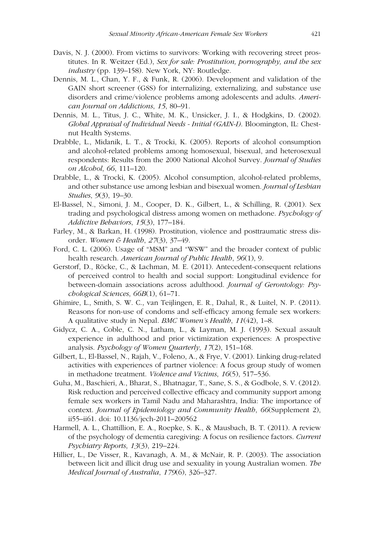- Davis, N. J. (2000). From victims to survivors: Working with recovering street prostitutes. In R. Weitzer (Ed.), *Sex for sale: Prostitution, pornography, and the sex industry* (pp. 139–158). New York, NY: Routledge.
- Dennis, M. L., Chan, Y. F., & Funk, R. (2006). Development and validation of the GAIN short screener (GSS) for internalizing, externalizing, and substance use disorders and crime/violence problems among adolescents and adults. *American Journal on Addictions*, *15*, 80–91.
- Dennis, M. L., Titus, J. C., White, M. K., Unsicker, J. I., & Hodgkins, D. (2002). *Global Appraisal of Individual Needs - Initial (GAIN-I)*. Bloomington, IL: Chestnut Health Systems.
- Drabble, L., Midanik, L. T., & Trocki, K. (2005). Reports of alcohol consumption and alcohol-related problems among homosexual, bisexual, and heterosexual respondents: Results from the 2000 National Alcohol Survey. *Journal of Studies on Alcohol*, *66*, 111–120.
- Drabble, L., & Trocki, K. (2005). Alcohol consumption, alcohol-related problems, and other substance use among lesbian and bisexual women. *Journal of Lesbian Studies*, *9*(3), 19–30.
- El-Bassel, N., Simoni, J. M., Cooper, D. K., Gilbert, L., & Schilling, R. (2001). Sex trading and psychological distress among women on methadone. *Psychology of Addictive Behaviors*, *15*(3), 177–184.
- Farley, M., & Barkan, H. (1998). Prostitution, violence and posttraumatic stress disorder. *Women & Health*, *27*(3), 37–49.
- Ford, C. L. (2006). Usage of "MSM" and "WSW" and the broader context of public health research. *American Journal of Public Health*, *96*(1), 9.
- Gerstorf, D., Röcke, C., & Lachman, M. E. (2011). Antecedent-consequent relations of perceived control to health and social support: Longitudinal evidence for between-domain associations across adulthood. *Journal of Gerontology: Psychological Sciences*, *66B*(1), 61–71.
- Ghimire, L., Smith, S. W. C., van Teijlingen, E. R., Dahal, R., & Luitel, N. P. (2011). Reasons for non-use of condoms and self-efficacy among female sex workers: A qualitative study in Nepal. *BMC Women's Health*, *11*(42), 1–8.
- Gidycz, C. A., Coble, C. N., Latham, L., & Layman, M. J. (1993). Sexual assault experience in adulthood and prior victimization experiences: A prospective analysis. *Psychology of Women Quarterly*, *17*(2), 151–168.
- Gilbert, L., El-Bassel, N., Rajah, V., Foleno, A., & Frye, V. (2001). Linking drug-related activities with experiences of partner violence: A focus group study of women in methadone treatment. *Violence and Victims*, *16*(5), 517–536.
- Guha, M., Baschieri, A., Bharat, S., Bhatnagar, T., Sane, S. S., & Godbole, S. V. (2012). Risk reduction and perceived collective efficacy and community support among female sex workers in Tamil Nadu and Maharashtra, India: The importance of context. *Journal of Epidemiology and Community Health*, *66*(Supplement 2), ii55–ii61. doi: 10.1136/jech-2011–200562
- Harmell, A. L., Chattillion, E. A., Roepke, S. K., & Mausbach, B. T. (2011). A review of the psychology of dementia caregiving: A focus on resilience factors. *Current Psychiatry Reports*, *13*(3), 219–224.
- Hillier, L., De Visser, R., Kavanagh, A. M., & McNair, R. P. (2003). The association between licit and illicit drug use and sexuality in young Australian women. *The Medical Journal of Australia*, *179*(6), 326–327.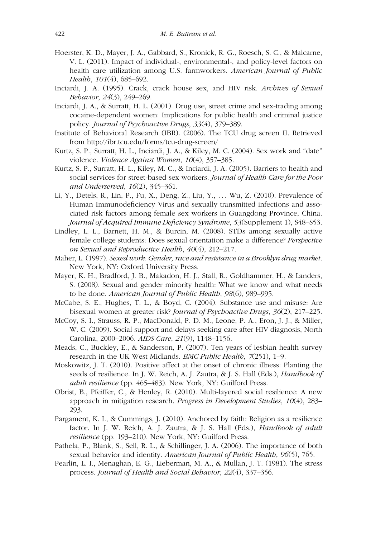- Hoerster, K. D., Mayer, J. A., Gabbard, S., Kronick, R. G., Roesch, S. C., & Malcarne, V. L. (2011). Impact of individual-, environmental-, and policy-level factors on health care utilization among U.S. farmworkers. *American Journal of Public Health*, *101*(4), 685–692.
- Inciardi, J. A. (1995). Crack, crack house sex, and HIV risk. *Archives of Sexual Behavior*, *24*(3), 249–269.
- Inciardi, J. A., & Surratt, H. L. (2001). Drug use, street crime and sex-trading among cocaine-dependent women: Implications for public health and criminal justice policy. *Journal of Psychoactive Drugs*, *33*(4), 379–389.
- Institute of Behavioral Research (IBR). (2006). The TCU drug screen II. Retrieved from http://ibr.tcu.edu/forms/tcu-drug-screen/
- Kurtz, S. P., Surratt, H. L., Inciardi, J. A., & Kiley, M. C. (2004). Sex work and "date" violence. *Violence Against Women*, *10*(4), 357–385.
- Kurtz, S. P., Surratt, H. L., Kiley, M. C., & Inciardi, J. A. (2005). Barriers to health and social services for street-based sex workers. *Journal of Health Care for the Poor and Underserved*, *16*(2), 345–361.
- Li, Y., Detels, R., Lin, P., Fu, X., Deng, Z., Liu, Y., *...* Wu, Z. (2010). Prevalence of Human Immunodeficiency Virus and sexually transmitted infections and associated risk factors among female sex workers in Guangdong Province, China. *Journal of Acquired Immune Deficiency Syndrome*, *53*(Supplement 1), S48–S53.
- Lindley, L. L., Barnett, H. M., & Burcin, M. (2008). STDs among sexually active female college students: Does sexual orientation make a difference? *Perspective on Sexual and Reproductive Health*, *40*(4), 212–217.
- Maher, L. (1997). *Sexed work: Gender, race and resistance in a Brooklyn drug market*. New York, NY: Oxford University Press.
- Mayer, K. H., Bradford, J. B., Makadon, H. J., Stall, R., Goldhammer, H., & Landers, S. (2008). Sexual and gender minority health: What we know and what needs to be done. *American Journal of Public Health*, *98*(6), 989–995.
- McCabe, S. E., Hughes, T. L., & Boyd, C. (2004). Substance use and misuse: Are bisexual women at greater risk? *Journal of Psychoactive Drugs*, *36*(2), 217–225.
- McCoy, S. I., Strauss, R. P., MacDonald, P. D. M., Leone, P. A., Eron, J. J., & Miller, W. C. (2009). Social support and delays seeking care after HIV diagnosis, North Carolina, 2000–2006. *AIDS Care*, *21*(9), 1148–1156.
- Meads, C., Buckley, E., & Sanderson, P. (2007). Ten years of lesbian health survey research in the UK West Midlands. *BMC Public Health*, *7*(251), 1–9.
- Moskowitz, J. T. (2010). Positive affect at the onset of chronic illness: Planting the seeds of resilience. In J. W. Reich, A. J. Zautra, & J. S. Hall (Eds.), *Handbook of adult resilience* (pp. 465–483). New York, NY: Guilford Press.
- Obrist, B., Pfeiffer, C., & Henley, R. (2010). Multi-layered social resilience: A new approach in mitigation research. *Progress in Development Studies*, *10*(4), 283– 293.
- Pargament, K. I., & Cummings, J. (2010). Anchored by faith: Religion as a resilience factor. In J. W. Reich, A. J. Zautra, & J. S. Hall (Eds.), *Handbook of adult resilience* (pp. 193–210). New York, NY: Guilford Press.
- Pathela, P., Blank, S., Sell, R. L., & Schillinger, J. A. (2006). The importance of both sexual behavior and identity. *American Journal of Public Health*, *96*(5), 765.
- Pearlin, L. I., Menaghan, E. G., Lieberman, M. A., & Mullan, J. T. (1981). The stress process. *Journal of Health and Social Behavior*, *22*(4), 337–356.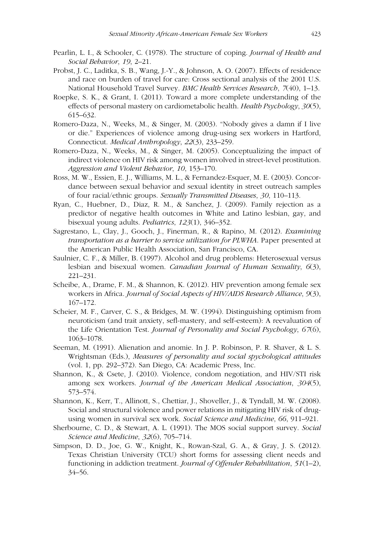- Pearlin, L. I., & Schooler, C. (1978). The structure of coping. *Journal of Health and Social Behavior*, *19*, 2–21.
- Probst, J. C., Laditka, S. B., Wang, J.-Y., & Johnson, A. O. (2007). Effects of residence and race on burden of travel for care: Cross sectional analysis of the 2001 U.S. National Household Travel Survey. *BMC Health Services Research*, *7*(40), 1–13.
- Roepke, S. K., & Grant, I. (2011). Toward a more complete understanding of the effects of personal mastery on cardiometabolic health. *Health Psychology*, *30*(5), 615–632.
- Romero-Daza, N., Weeks, M., & Singer, M. (2003). "Nobody gives a damn if I live or die." Experiences of violence among drug-using sex workers in Hartford, Connecticut. *Medical Anthropology*, *22*(3), 233–259.
- Romero-Daza, N., Weeks, M., & Singer, M. (2005). Conceptualizing the impact of indirect violence on HIV risk among women involved in street-level prostitution. *Aggression and Violent Behavior*, *10*, 153–170.
- Ross, M. W., Essien, E. J., Williams, M. L., & Fernandez-Esquer, M. E. (2003). Concordance between sexual behavior and sexual identity in street outreach samples of four racial/ethnic groups. *Sexually Transmitted Diseases*, *30*, 110–113.
- Ryan, C., Huebner, D., Diaz, R. M., & Sanchez, J. (2009). Family rejection as a predictor of negative health outcomes in White and Latino lesbian, gay, and bisexual young adults. *Pediatrics*, *123*(1), 346–352.
- Sagrestano, L., Clay, J., Gooch, J., Finerman, R., & Rapino, M. (2012). *Examining transportation as a barrier to service utilization for PLWHA*. Paper presented at the American Public Health Association, San Francisco, CA.
- Saulnier, C. F., & Miller, B. (1997). Alcohol and drug problems: Heterosexual versus lesbian and bisexual women. *Canadian Journal of Human Sexuality*, *6*(3), 221–231.
- Scheibe, A., Drame, F. M., & Shannon, K. (2012). HIV prevention among female sex workers in Africa. *Journal of Social Aspects of HIV/AIDS Research Alliance*, *9*(3), 167–172.
- Scheier, M. F., Carver, C. S., & Bridges, M. W. (1994). Distinguishing optimism from neuroticism (and trait anxiety, sefl-mastery, and self-esteem): A reevaluation of the Life Orientation Test. *Journal of Personality and Social Psychology*, *67*(6), 1063–1078.
- Seeman, M. (1991). Alienation and anomie. In J. P. Robinson, P. R. Shaver, & L. S. Wrightsman (Eds.), *Measures of personality and social spychological attitudes* (vol. 1, pp. 292–372). San Diego, CA: Academic Press, Inc.
- Shannon, K., & Csete, J. (2010). Violence, condom negotiation, and HIV/STI risk among sex workers. *Journal of the American Medical Association*, *304*(5), 573–574.
- Shannon, K., Kerr, T., Allinott, S., Chettiar, J., Shoveller, J., & Tyndall, M. W. (2008). Social and structural violence and power relations in mitigating HIV risk of drugusing women in survival sex work. *Social Science and Medicine*, *66*, 911–921.
- Sherbourne, C. D., & Stewart, A. L. (1991). The MOS social support survey. *Social Science and Medicine*, *32*(6), 705–714.
- Simpson, D. D., Joe, G. W., Knight, K., Rowan-Szal, G. A., & Gray, J. S. (2012). Texas Christian University (TCU) short forms for assessing client needs and functioning in addiction treatment. *Journal of Offender Rehabilitation*, *51*(1–2), 34–56.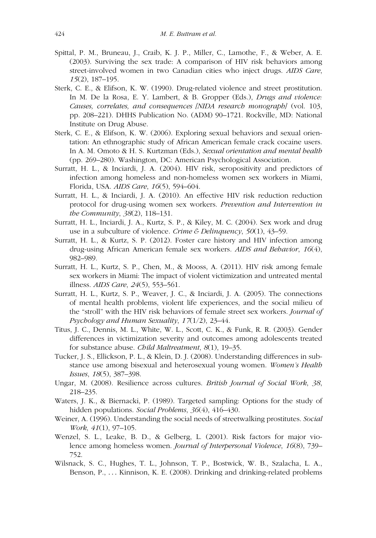- Spittal, P. M., Bruneau, J., Craib, K. J. P., Miller, C., Lamothe, F., & Weber, A. E. (2003). Surviving the sex trade: A comparison of HIV risk behaviors among street-involved women in two Canadian cities who inject drugs. *AIDS Care*, *15*(2), 187–195.
- Sterk, C. E., & Elifson, K. W. (1990). Drug-related violence and street prostitution. In M. De la Rosa, E. Y. Lambert, & B. Gropper (Eds.), *Drugs and violence: Causes, correlates, and consequences [NIDA research monograph]* (vol. 103, pp. 208–221). DHHS Publication No. (ADM) 90–1721. Rockville, MD: National Institute on Drug Abuse.
- Sterk, C. E., & Elifson, K. W. (2006). Exploring sexual behaviors and sexual orientation: An ethnographic study of African American female crack cocaine users. In A. M. Omoto & H. S. Kurtzman (Eds.), *Sexual orientation and mental health* (pp. 269–280). Washington, DC: American Psychological Association.
- Surratt, H. L., & Inciardi, J. A. (2004). HIV risk, seropositivity and predictors of infection among homeless and non-homeless women sex workers in Miami, Florida, USA. *AIDS Care*, *16*(5), 594–604.
- Surratt, H. L., & Inciardi, J. A. (2010). An effective HIV risk reduction reduction protocol for drug-using women sex workers. *Prevention and Intervention in the Community*, *38*(2), 118–131.
- Surratt, H. L., Inciardi, J. A., Kurtz, S. P., & Kiley, M. C. (2004). Sex work and drug use in a subculture of violence. *Crime & Delinquency*, *50*(1), 43–59.
- Surratt, H. L., & Kurtz, S. P. (2012). Foster care history and HIV infection among drug-using African American female sex workers. *AIDS and Behavior*, *16*(4), 982–989.
- Surratt, H. L., Kurtz, S. P., Chen, M., & Mooss, A. (2011). HIV risk among female sex workers in Miami: The impact of violent victimization and untreated mental illness. *AIDS Care*, *24*(5), 553–561.
- Surratt, H. L., Kurtz, S. P., Weaver, J. C., & Inciardi, J. A. (2005). The connections of mental health problems, violent life experiences, and the social milieu of the "stroll" with the HIV risk behaviors of female street sex workers. *Journal of Psychology and Human Sexuality*, *17*(1/2), 23–44.
- Titus, J. C., Dennis, M. L., White, W. L., Scott, C. K., & Funk, R. R. (2003). Gender differences in victimization severity and outcomes among adolescents treated for substance abuse. *Child Maltreatment*, *8*(1), 19–35.
- Tucker, J. S., Ellickson, P. L., & Klein, D. J. (2008). Understanding differences in substance use among bisexual and heterosexual young women. *Women's Health Issues*, *18*(5), 387–398.
- Ungar, M. (2008). Resilience across cultures. *British Journal of Social Work*, *38*, 218–235.
- Waters, J. K., & Biernacki, P. (1989). Targeted sampling: Options for the study of hidden populations. *Social Problems*, *36*(4), 416–430.
- Weiner, A. (1996). Understanding the social needs of streetwalking prostitutes. *Social Work*, *41*(1), 97–105.
- Wenzel, S. L., Leake, B. D., & Gelberg, L. (2001). Risk factors for major violence among homeless women. *Journal of Interpersonal Violence*, *16*(8), 739– 752.
- Wilsnack, S. C., Hughes, T. L., Johnson, T. P., Bostwick, W. B., Szalacha, L. A., Benson, P., *...* Kinnison, K. E. (2008). Drinking and drinking-related problems